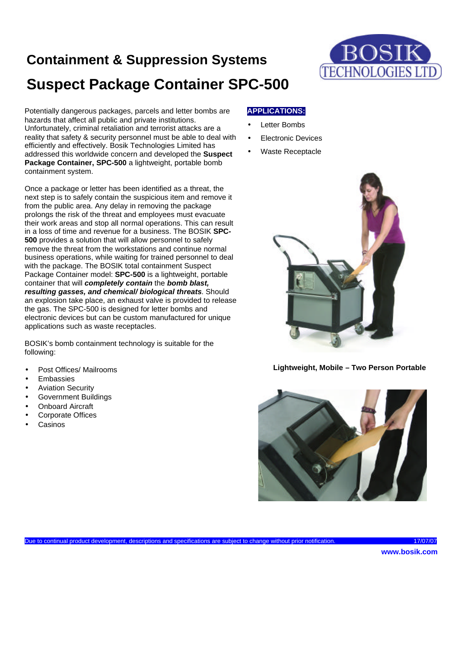# **Containment & Suppression Systems Suspect Package Container SPC-500**



Potentially dangerous packages, parcels and letter bombs are hazards that affect all public and private institutions. Unfortunately, criminal retaliation and terrorist attacks are a reality that safety & security personnel must be able to deal with efficiently and effectively. Bosik Technologies Limited has addressed this worldwide concern and developed the **Suspect Package Container, SPC-500** a lightweight, portable bomb containment system.

Once a package or letter has been identified as a threat, the next step is to safely contain the suspicious item and remove it from the public area. Any delay in removing the package prolongs the risk of the threat and employees must evacuate their work areas and stop all normal operations. This can result in a loss of time and revenue for a business. The BOSIK **SPC-500** provides a solution that will allow personnel to safely remove the threat from the workstations and continue normal business operations, while waiting for trained personnel to deal with the package. The BOSIK total containment Suspect Package Container model: **SPC-500** is a lightweight, portable container that will *completely contain* the *bomb blast, resulting gasses, and chemical/ biological threats*. Should an explosion take place, an exhaust valve is provided to release the gas. The SPC-500 is designed for letter bombs and electronic devices but can be custom manufactured for unique applications such as waste receptacles.

BOSIK's bomb containment technology is suitable for the following:

- Post Offices/ Mailrooms
- **Embassies**
- Aviation Security
- Government Buildings
- **Onboard Aircraft**
- Corporate Offices
- **Casinos**

## **APPLICATIONS:**

- **Letter Bombs**
- **Electronic Devices**
- Waste Receptacle



**Lightweight, Mobile – Two Person Portable**